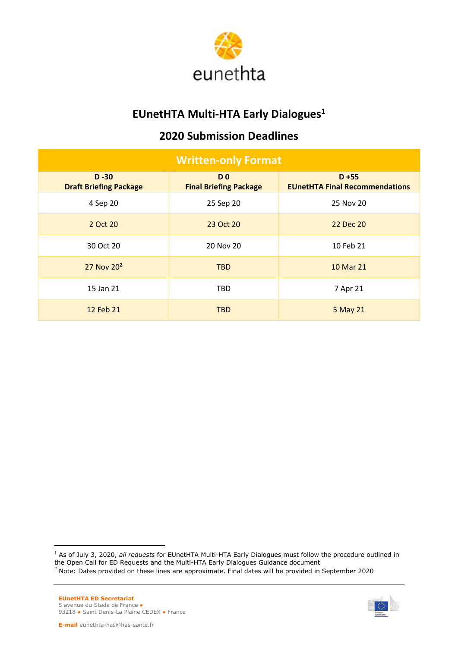

## EUnetHTA Multi-HTA Early Dialogues<sup>1</sup>

## 2020 Submission Deadlines

| <b>Written-only Format</b>                |                                                 |                                                   |  |  |  |
|-------------------------------------------|-------------------------------------------------|---------------------------------------------------|--|--|--|
| $D - 30$<br><b>Draft Briefing Package</b> | D <sub>0</sub><br><b>Final Briefing Package</b> | $D + 55$<br><b>EUnetHTA Final Recommendations</b> |  |  |  |
| 4 Sep 20                                  | 25 Sep 20                                       | 25 Nov 20                                         |  |  |  |
| 2 Oct 20                                  | 23 Oct 20                                       | 22 Dec 20                                         |  |  |  |
| 30 Oct 20                                 | 20 Nov 20                                       | 10 Feb 21                                         |  |  |  |
| 27 Nov 20 <sup>2</sup>                    | TBD                                             | 10 Mar 21                                         |  |  |  |
| 15 Jan 21                                 | <b>TBD</b>                                      | 7 Apr 21                                          |  |  |  |
| 12 Feb 21                                 | TBD.                                            | 5 May 21                                          |  |  |  |



 $<sup>1</sup>$  As of July 3, 2020, all requests for EUnetHTA Multi-HTA Early Dialogues must follow the procedure outlined in</sup> the Open Call for ED Requests and the Multi-HTA Early Dialogues Guidance document

<sup>&</sup>lt;sup>2</sup> Note: Dates provided on these lines are approximate. Final dates will be provided in September 2020